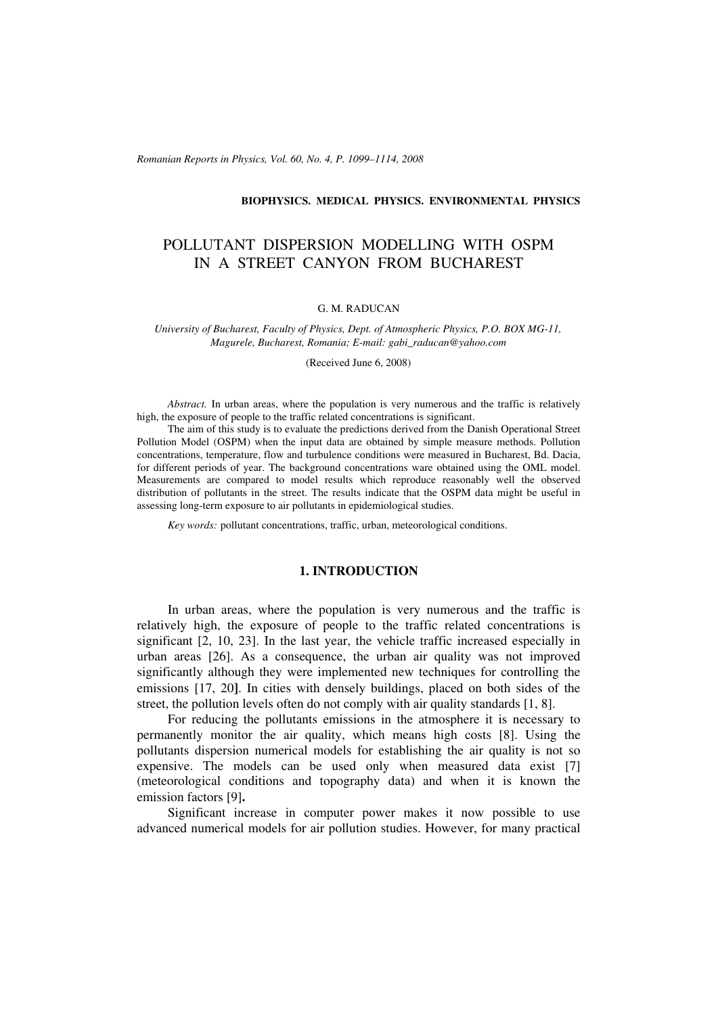*Romanian Reports in Physics, Vol. 60, No. 4, P. 1099–1114, 2008*

#### **BIOPHYSICS. MEDICAL PHYSICS. ENVIRONMENTAL PHYSICS**

# POLLUTANT DISPERSION MODELLING WITH OSPM IN A STREET CANYON FROM BUCHAREST

#### G. M. RADUCAN

*University of Bucharest, Faculty of Physics, Dept. of Atmospheric Physics, P.O. BOX MG-11, Magurele, Bucharest, Romania; E-mail: gabi\_raducan@yahoo.com*

(Received June 6, 2008)

*Abstract.* In urban areas, where the population is very numerous and the traffic is relatively high, the exposure of people to the traffic related concentrations is significant.

The aim of this study is to evaluate the predictions derived from the Danish Operational Street Pollution Model (OSPM) when the input data are obtained by simple measure methods. Pollution concentrations, temperature, flow and turbulence conditions were measured in Bucharest, Bd. Dacia, for different periods of year. The background concentrations ware obtained using the OML model. Measurements are compared to model results which reproduce reasonably well the observed distribution of pollutants in the street. The results indicate that the OSPM data might be useful in assessing long-term exposure to air pollutants in epidemiological studies.

*Key words:* pollutant concentrations, traffic, urban, meteorological conditions.

### **1. INTRODUCTION**

In urban areas, where the population is very numerous and the traffic is relatively high, the exposure of people to the traffic related concentrations is significant [2, 10, 23]. In the last year, the vehicle traffic increased especially in urban areas [26]. As a consequence, the urban air quality was not improved significantly although they were implemented new techniques for controlling the emissions [17, 20**]**. In cities with densely buildings, placed on both sides of the street, the pollution levels often do not comply with air quality standards [1, 8].

For reducing the pollutants emissions in the atmosphere it is necessary to permanently monitor the air quality, which means high costs [8]. Using the pollutants dispersion numerical models for establishing the air quality is not so expensive. The models can be used only when measured data exist [7] (meteorological conditions and topography data) and when it is known the emission factors [9]**.**

Significant increase in computer power makes it now possible to use advanced numerical models for air pollution studies. However, for many practical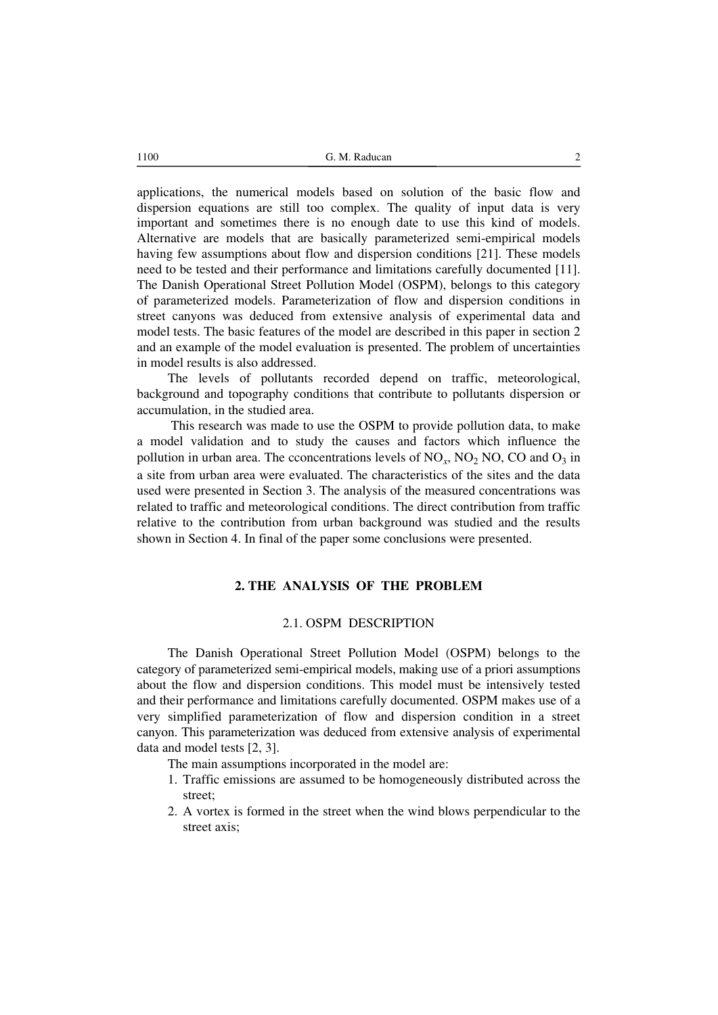1100 **G. M. Raducan** 2

applications, the numerical models based on solution of the basic flow and dispersion equations are still too complex. The quality of input data is very important and sometimes there is no enough date to use this kind of models. Alternative are models that are basically parameterized semi-empirical models having few assumptions about flow and dispersion conditions [21]. These models need to be tested and their performance and limitations carefully documented [11]. The Danish Operational Street Pollution Model (OSPM), belongs to this category of parameterized models. Parameterization of flow and dispersion conditions in street canyons was deduced from extensive analysis of experimental data and model tests. The basic features of the model are described in this paper in section 2 and an example of the model evaluation is presented. The problem of uncertainties in model results is also addressed.

The levels of pollutants recorded depend on traffic, meteorological, background and topography conditions that contribute to pollutants dispersion or accumulation, in the studied area.

 This research was made to use the OSPM to provide pollution data, to make a model validation and to study the causes and factors which influence the pollution in urban area. The cconcentrations levels of  $NO_x$ ,  $NO_2$  NO, CO and  $O_3$  in a site from urban area were evaluated. The characteristics of the sites and the data used were presented in Section 3. The analysis of the measured concentrations was related to traffic and meteorological conditions. The direct contribution from traffic relative to the contribution from urban background was studied and the results shown in Section 4. In final of the paper some conclusions were presented.

# **2. THE ANALYSIS OF THE PROBLEM**

### 2.1. OSPM DESCRIPTION

The Danish Operational Street Pollution Model (OSPM) belongs to the category of parameterized semi-empirical models, making use of a priori assumptions about the flow and dispersion conditions. This model must be intensively tested and their performance and limitations carefully documented. OSPM makes use of a very simplified parameterization of flow and dispersion condition in a street canyon. This parameterization was deduced from extensive analysis of experimental data and model tests [2, 3].

The main assumptions incorporated in the model are:

- 1. Traffic emissions are assumed to be homogeneously distributed across the street;
- 2. A vortex is formed in the street when the wind blows perpendicular to the street axis;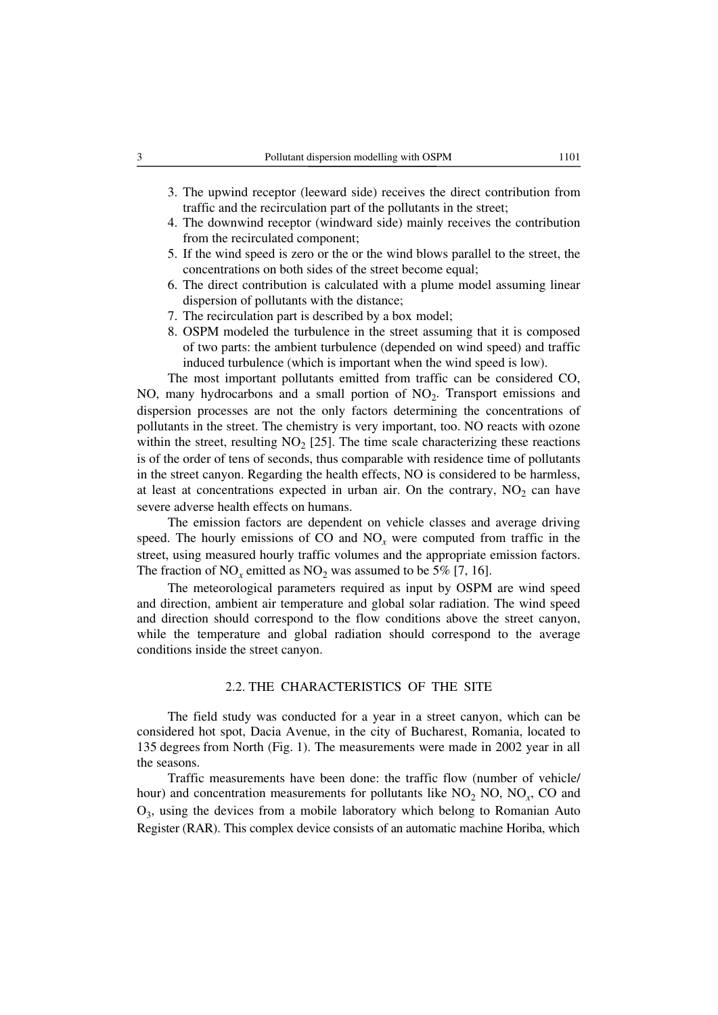- 3. The upwind receptor (leeward side) receives the direct contribution from traffic and the recirculation part of the pollutants in the street;
- 4. The downwind receptor (windward side) mainly receives the contribution from the recirculated component;
- 5. If the wind speed is zero or the or the wind blows parallel to the street, the concentrations on both sides of the street become equal;
- 6. The direct contribution is calculated with a plume model assuming linear dispersion of pollutants with the distance;
- 7. The recirculation part is described by a box model;
- 8. OSPM modeled the turbulence in the street assuming that it is composed of two parts: the ambient turbulence (depended on wind speed) and traffic induced turbulence (which is important when the wind speed is low).

The most important pollutants emitted from traffic can be considered CO, NO, many hydrocarbons and a small portion of NO<sub>2</sub>. Transport emissions and dispersion processes are not the only factors determining the concentrations of pollutants in the street. The chemistry is very important, too. NO reacts with ozone within the street, resulting  $NO<sub>2</sub>$  [25]. The time scale characterizing these reactions is of the order of tens of seconds, thus comparable with residence time of pollutants in the street canyon. Regarding the health effects, NO is considered to be harmless, at least at concentrations expected in urban air. On the contrary,  $NO<sub>2</sub>$  can have severe adverse health effects on humans.

The emission factors are dependent on vehicle classes and average driving speed. The hourly emissions of CO and  $NO<sub>x</sub>$  were computed from traffic in the street, using measured hourly traffic volumes and the appropriate emission factors. The fraction of  $NO_x$  emitted as  $NO_2$  was assumed to be 5% [7, 16].

The meteorological parameters required as input by OSPM are wind speed and direction, ambient air temperature and global solar radiation. The wind speed and direction should correspond to the flow conditions above the street canyon, while the temperature and global radiation should correspond to the average conditions inside the street canyon.

#### 2.2. THE CHARACTERISTICS OF THE SITE

The field study was conducted for a year in a street canyon, which can be considered hot spot, Dacia Avenue, in the city of Bucharest, Romania, located to 135 degrees from North (Fig. 1). The measurements were made in 2002 year in all the seasons.

Traffic measurements have been done: the traffic flow (number of vehicle/ hour) and concentration measurements for pollutants like  $NO<sub>2</sub> NO, NO<sub>x</sub> CO$  and O3, using the devices from a mobile laboratory which belong to Romanian Auto Register (RAR). This complex device consists of an automatic machine Horiba, which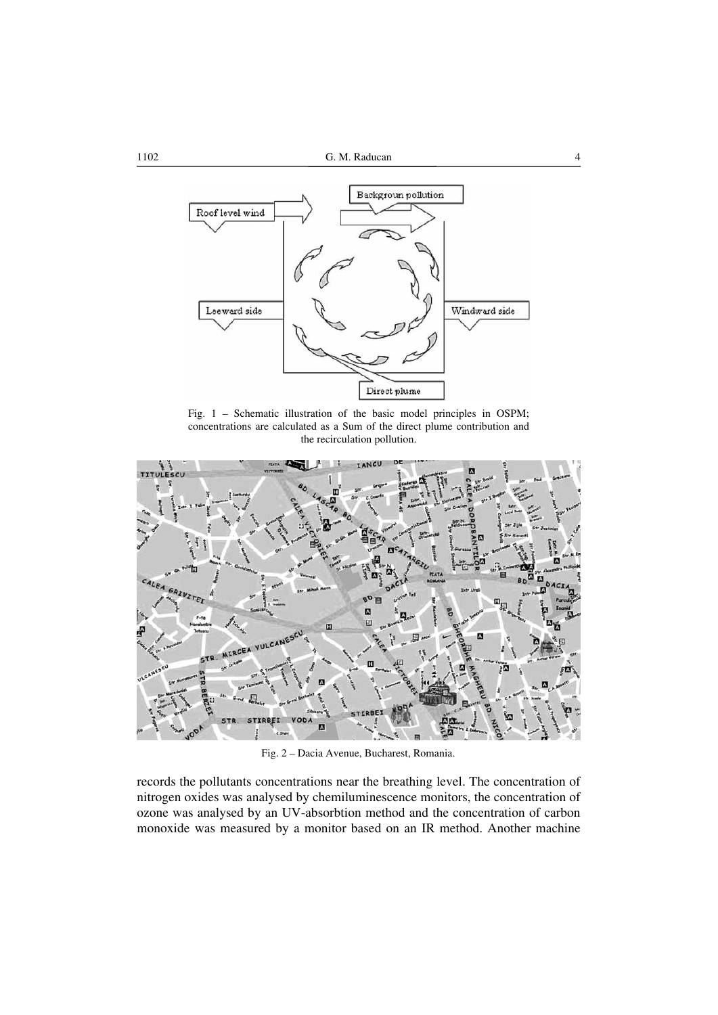

Fig. 1 – Schematic illustration of the basic model principles in OSPM; concentrations are calculated as a Sum of the direct plume contribution and the recirculation pollution.



Fig. 2 – Dacia Avenue, Bucharest, Romania.

records the pollutants concentrations near the breathing level. The concentration of nitrogen oxides was analysed by chemiluminescence monitors, the concentration of ozone was analysed by an UV-absorbtion method and the concentration of carbon monoxide was measured by a monitor based on an IR method. Another machine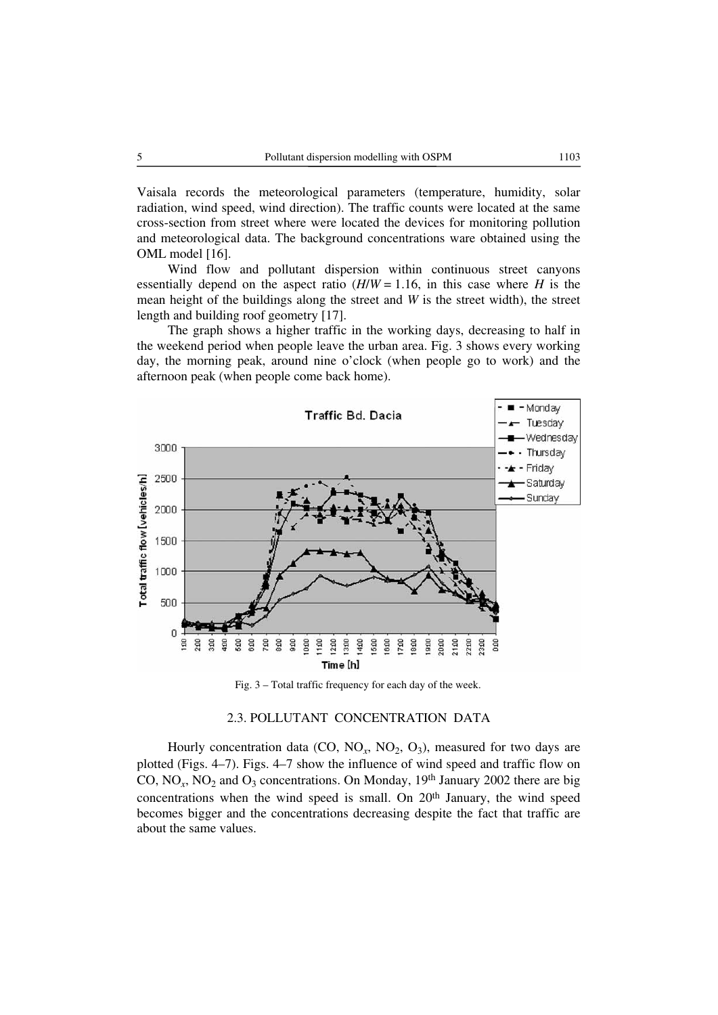Vaisala records the meteorological parameters (temperature, humidity, solar radiation, wind speed, wind direction). The traffic counts were located at the same cross-section from street where were located the devices for monitoring pollution and meteorological data. The background concentrations ware obtained using the OML model [16].

Wind flow and pollutant dispersion within continuous street canyons essentially depend on the aspect ratio  $(H/W = 1.16)$ , in this case where *H* is the mean height of the buildings along the street and *W* is the street width), the street length and building roof geometry [17].

The graph shows a higher traffic in the working days, decreasing to half in the weekend period when people leave the urban area. Fig. 3 shows every working day, the morning peak, around nine o'clock (when people go to work) and the afternoon peak (when people come back home).



Fig. 3 – Total traffic frequency for each day of the week.

# 2.3. POLLUTANT CONCENTRATION DATA

Hourly concentration data (CO,  $NO_x$ ,  $NO_2$ ,  $O_3$ ), measured for two days are plotted (Figs. 4–7). Figs. 4–7 show the influence of wind speed and traffic flow on CO,  $NO<sub>x</sub>$ ,  $NO<sub>2</sub>$  and  $O<sub>3</sub>$  concentrations. On Monday, 19<sup>th</sup> January 2002 there are big concentrations when the wind speed is small. On 20th January, the wind speed becomes bigger and the concentrations decreasing despite the fact that traffic are about the same values.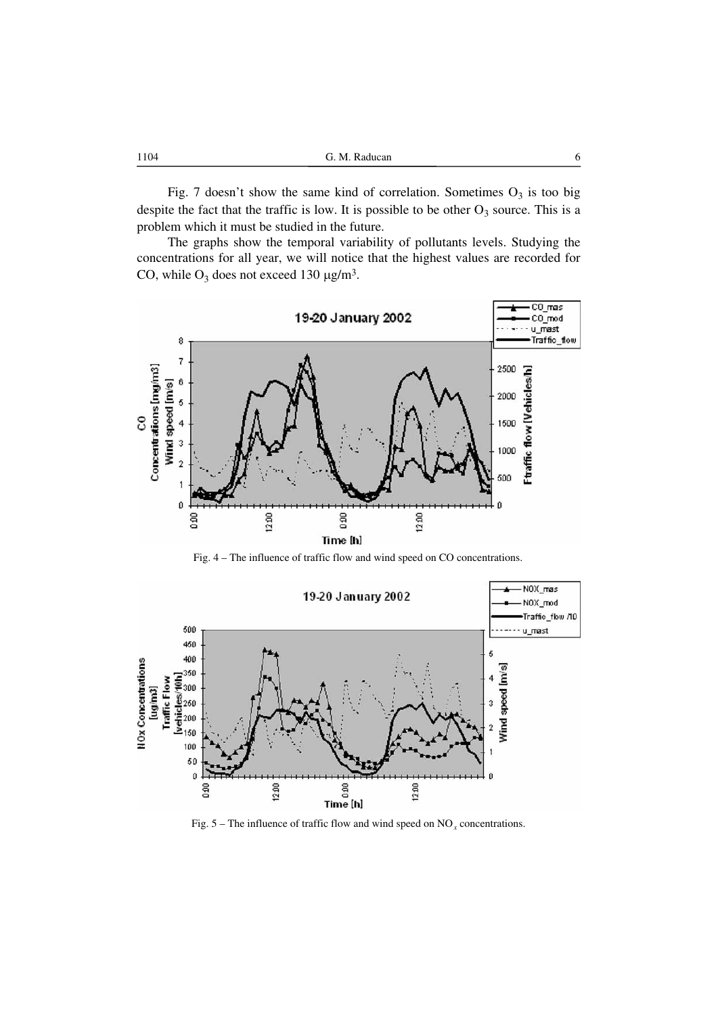| 1104<br>G. M. Raducan<br>. |  |
|----------------------------|--|
|----------------------------|--|

Fig. 7 doesn't show the same kind of correlation. Sometimes  $O_3$  is too big despite the fact that the traffic is low. It is possible to be other  $O_3$  source. This is a problem which it must be studied in the future.

The graphs show the temporal variability of pollutants levels. Studying the concentrations for all year, we will notice that the highest values are recorded for CO, while  $O_3$  does not exceed 130  $\mu$ g/m<sup>3</sup>.



Fig. 4 – The influence of traffic flow and wind speed on CO concentrations.



Fig.  $5 -$ The influence of traffic flow and wind speed on NO<sub>x</sub> concentrations.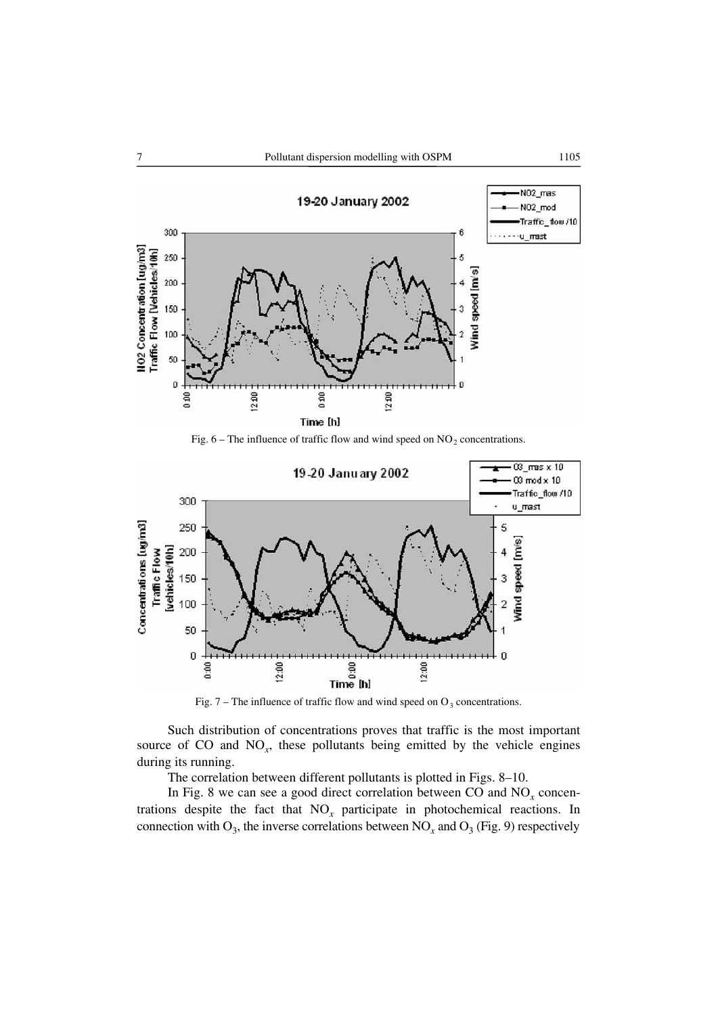

Fig.  $6$  – The influence of traffic flow and wind speed on NO<sub>2</sub> concentrations.



Fig. 7 – The influence of traffic flow and wind speed on  $O_3$  concentrations.

Such distribution of concentrations proves that traffic is the most important source of CO and  $NO<sub>x</sub>$ , these pollutants being emitted by the vehicle engines during its running.

The correlation between different pollutants is plotted in Figs. 8–10.

In Fig. 8 we can see a good direct correlation between CO and  $NO<sub>x</sub>$  concentrations despite the fact that NO*x* participate in photochemical reactions. In connection with  $O_3$ , the inverse correlations between  $NO_x$  and  $O_3$  (Fig. 9) respectively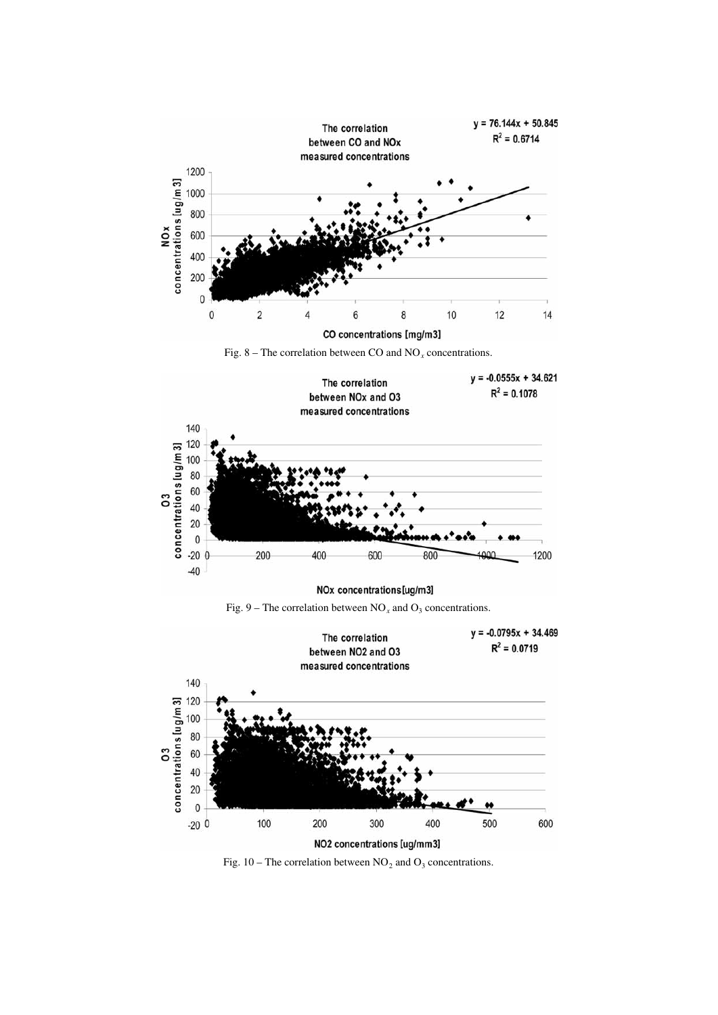





NOx concentrations [ug/m3]





Fig. 10 – The correlation between  $NO_2$  and  $O_3$  concentrations.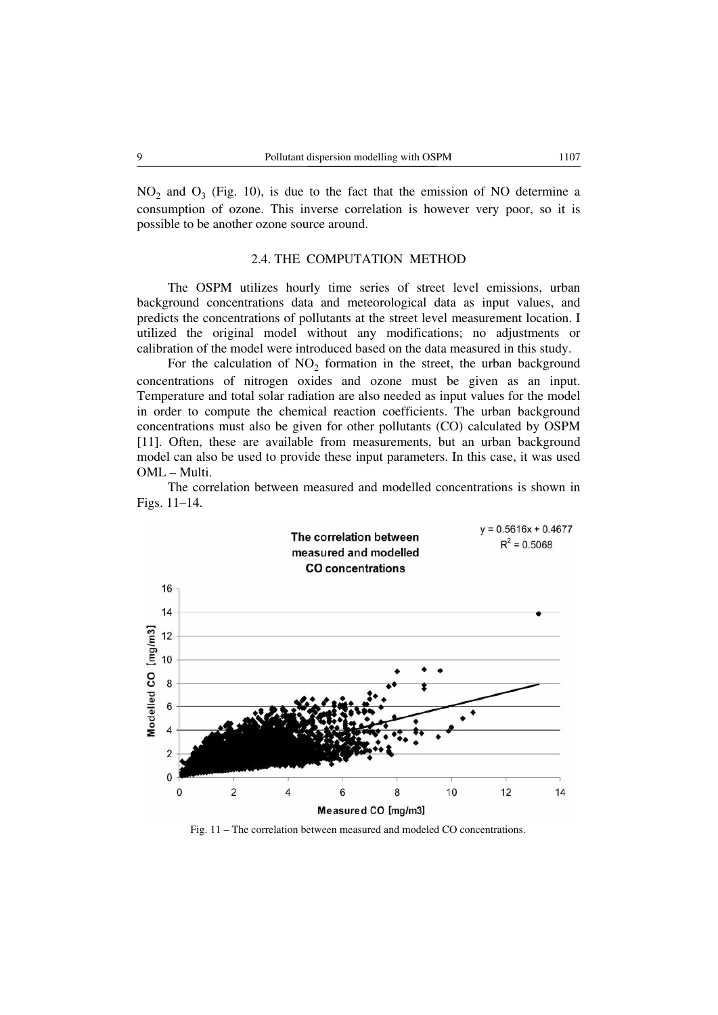$NO<sub>2</sub>$  and  $O<sub>3</sub>$  (Fig. 10), is due to the fact that the emission of NO determine a consumption of ozone. This inverse correlation is however very poor, so it is possible to be another ozone source around.

## 2.4. THE COMPUTATION METHOD

The OSPM utilizes hourly time series of street level emissions, urban background concentrations data and meteorological data as input values, and predicts the concentrations of pollutants at the street level measurement location. I utilized the original model without any modifications; no adjustments or calibration of the model were introduced based on the data measured in this study.

For the calculation of  $NO<sub>2</sub>$  formation in the street, the urban background concentrations of nitrogen oxides and ozone must be given as an input. Temperature and total solar radiation are also needed as input values for the model in order to compute the chemical reaction coefficients. The urban background concentrations must also be given for other pollutants (CO) calculated by OSPM [11]. Often, these are available from measurements, but an urban background model can also be used to provide these input parameters. In this case, it was used OML – Multi.

The correlation between measured and modelled concentrations is shown in Figs. 11–14.



Fig. 11 – The correlation between measured and modeled CO concentrations.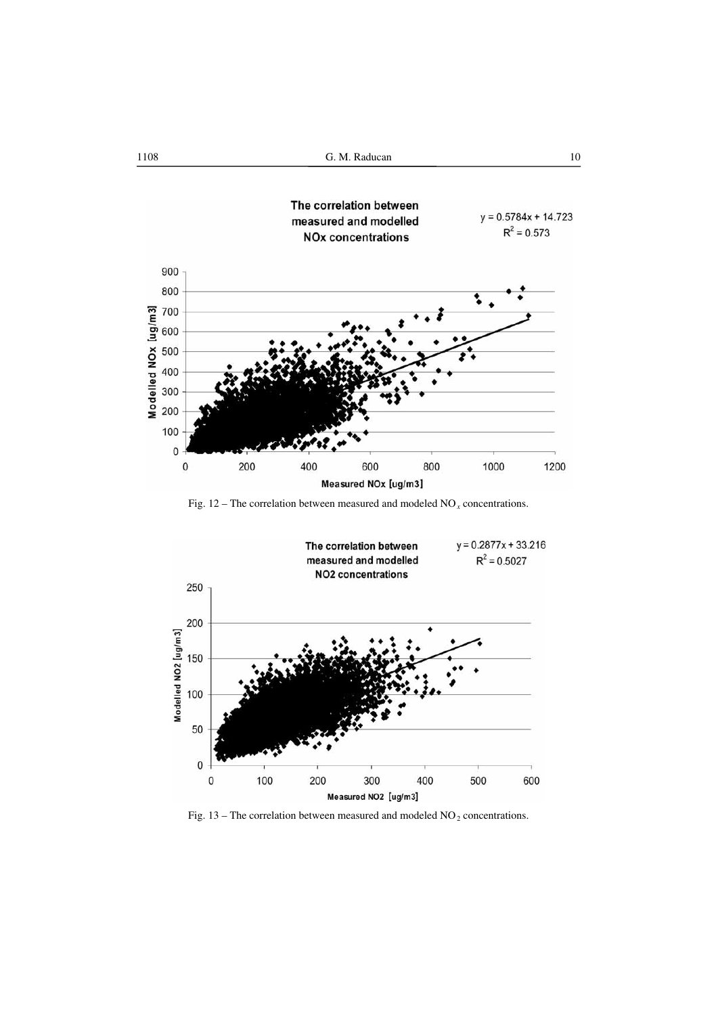1108 **G. M. Raducan** 10



Fig. 12 – The correlation between measured and modeled  $NO<sub>x</sub>$  concentrations.



Fig. 13 – The correlation between measured and modeled  $NO<sub>2</sub>$  concentrations.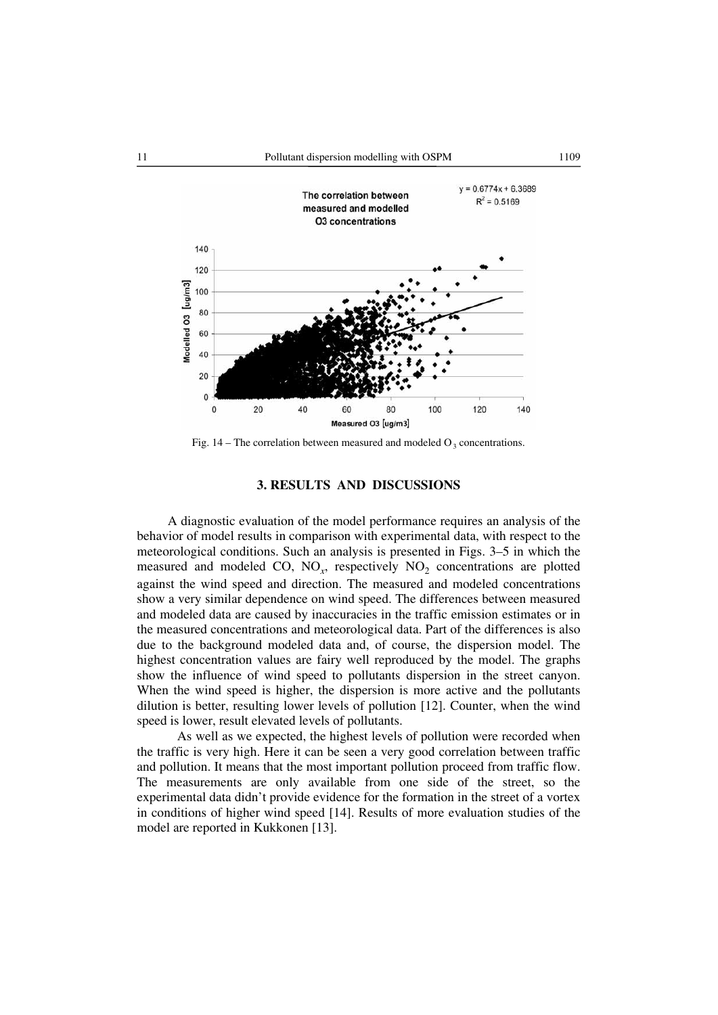

Fig. 14 – The correlation between measured and modeled  $O_3$  concentrations.

# **3. RESULTS AND DISCUSSIONS**

A diagnostic evaluation of the model performance requires an analysis of the behavior of model results in comparison with experimental data, with respect to the meteorological conditions. Such an analysis is presented in Figs. 3–5 in which the measured and modeled CO,  $NO_x$ , respectively  $NO_2$  concentrations are plotted against the wind speed and direction. The measured and modeled concentrations show a very similar dependence on wind speed. The differences between measured and modeled data are caused by inaccuracies in the traffic emission estimates or in the measured concentrations and meteorological data. Part of the differences is also due to the background modeled data and, of course, the dispersion model. The highest concentration values are fairy well reproduced by the model. The graphs show the influence of wind speed to pollutants dispersion in the street canyon. When the wind speed is higher, the dispersion is more active and the pollutants dilution is better, resulting lower levels of pollution [12]. Counter, when the wind speed is lower, result elevated levels of pollutants.

As well as we expected, the highest levels of pollution were recorded when the traffic is very high. Here it can be seen a very good correlation between traffic and pollution. It means that the most important pollution proceed from traffic flow. The measurements are only available from one side of the street, so the experimental data didn't provide evidence for the formation in the street of a vortex in conditions of higher wind speed [14]. Results of more evaluation studies of the model are reported in Kukkonen [13].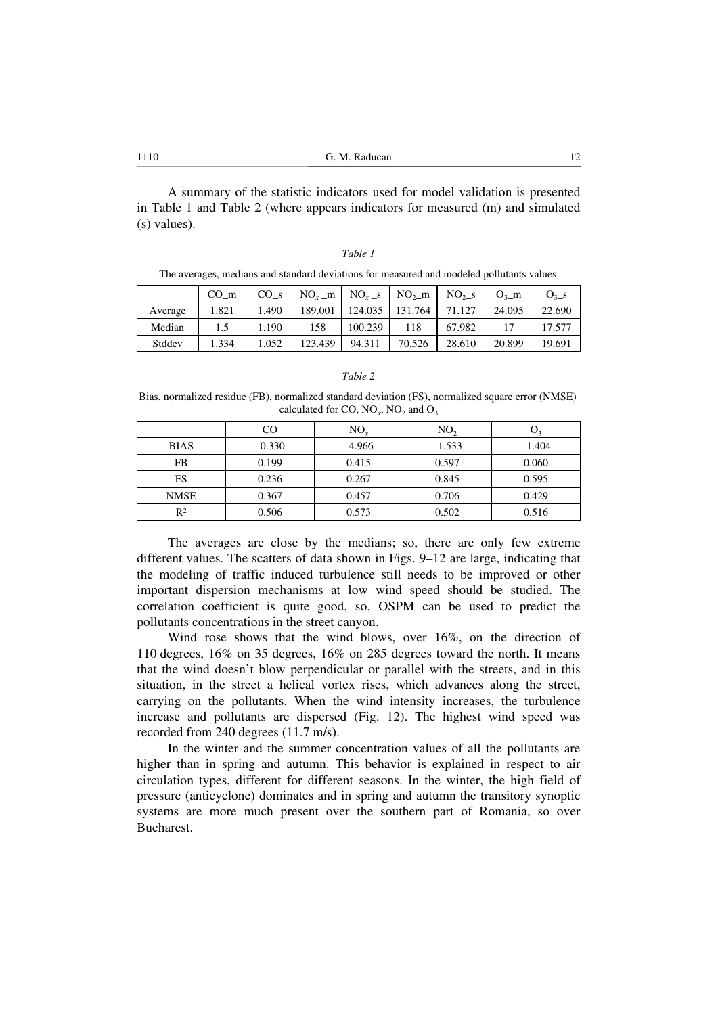A summary of the statistic indicators used for model validation is presented in Table 1 and Table 2 (where appears indicators for measured (m) and simulated (s) values).

#### *Table 1*

The averages, medians and standard deviations for measured and modeled pollutants values

|         | CO m  | CO <sub>s</sub> | $NO_x$ m | $NO_r$ <sub>-S</sub> | $NO2$ m | $NO2 - S$ | $O_3$ m | $O_3$ _s |
|---------|-------|-----------------|----------|----------------------|---------|-----------|---------|----------|
| Average | 1.821 | .490            | 189.001  | 124.035              | 131.764 | 71.127    | 24.095  | 22.690   |
| Median  |       | 1.190           | 158      | 100.239              | 118     | 67.982    |         | 17.577   |
| Stddev  | .334  | 1.052           | 123.439  | 94.311               | 70.526  | 28.610    | 20.899  | 19.691   |

#### *Table 2*

Bias, normalized residue (FB), normalized standard deviation (FS), normalized square error (NMSE) calculated for CO,  $NO<sub>r</sub>$ ,  $NO<sub>2</sub>$  and  $O<sub>3</sub>$ 

|                           | CO       | $NO_{r}$ | NO <sub>2</sub> |          |
|---------------------------|----------|----------|-----------------|----------|
| <b>BIAS</b>               | $-0.330$ | $-4.966$ | $-1.533$        | $-1.404$ |
| FB                        | 0.199    | 0.415    | 0.597           | 0.060    |
| FS                        | 0.236    | 0.267    | 0.845           | 0.595    |
| <b>NMSE</b>               | 0.367    | 0.457    | 0.706           | 0.429    |
| $\mathbf{p}$ <sub>2</sub> | 0.506    | 0.573    | 0.502           | 0.516    |

The averages are close by the medians; so, there are only few extreme different values. The scatters of data shown in Figs. 9–12 are large, indicating that the modeling of traffic induced turbulence still needs to be improved or other important dispersion mechanisms at low wind speed should be studied. The correlation coefficient is quite good, so, OSPM can be used to predict the pollutants concentrations in the street canyon.

Wind rose shows that the wind blows, over 16%, on the direction of 110 degrees, 16% on 35 degrees, 16% on 285 degrees toward the north. It means that the wind doesn't blow perpendicular or parallel with the streets, and in this situation, in the street a helical vortex rises, which advances along the street, carrying on the pollutants. When the wind intensity increases, the turbulence increase and pollutants are dispersed (Fig. 12). The highest wind speed was recorded from 240 degrees (11.7 m/s).

In the winter and the summer concentration values of all the pollutants are higher than in spring and autumn. This behavior is explained in respect to air circulation types, different for different seasons. In the winter, the high field of pressure (anticyclone) dominates and in spring and autumn the transitory synoptic systems are more much present over the southern part of Romania, so over Bucharest.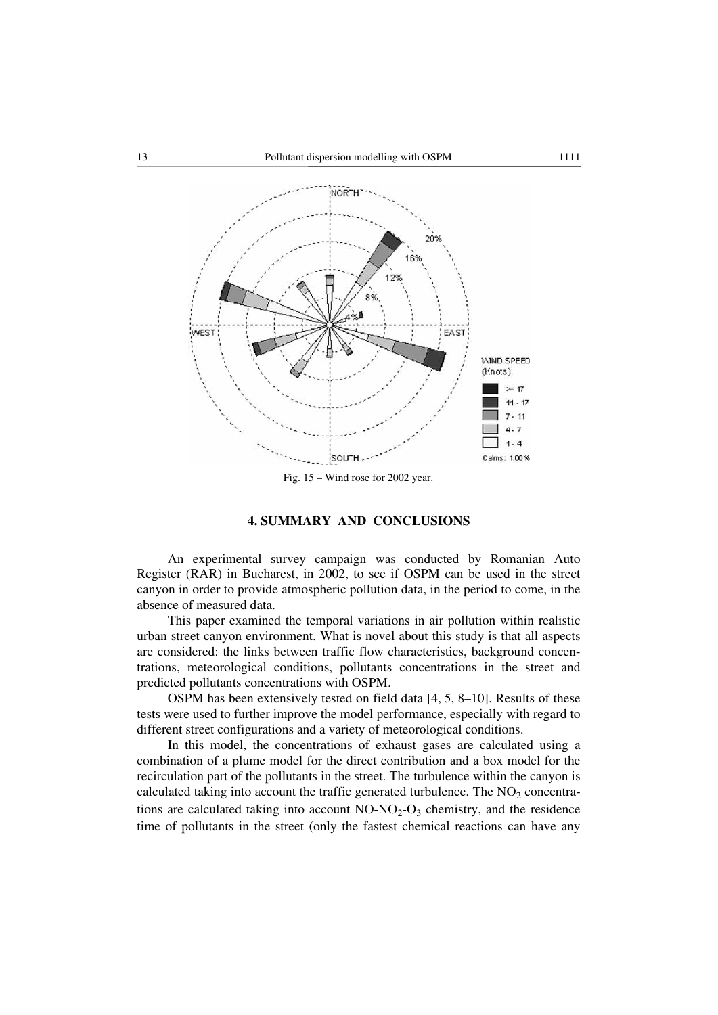

#### Fig. 15 – Wind rose for 2002 year.

# **4. SUMMARY AND CONCLUSIONS**

An experimental survey campaign was conducted by Romanian Auto Register (RAR) in Bucharest, in 2002, to see if OSPM can be used in the street canyon in order to provide atmospheric pollution data, in the period to come, in the absence of measured data.

This paper examined the temporal variations in air pollution within realistic urban street canyon environment. What is novel about this study is that all aspects are considered: the links between traffic flow characteristics, background concentrations, meteorological conditions, pollutants concentrations in the street and predicted pollutants concentrations with OSPM.

OSPM has been extensively tested on field data [4, 5, 8–10]. Results of these tests were used to further improve the model performance, especially with regard to different street configurations and a variety of meteorological conditions.

In this model, the concentrations of exhaust gases are calculated using a combination of a plume model for the direct contribution and a box model for the recirculation part of the pollutants in the street. The turbulence within the canyon is calculated taking into account the traffic generated turbulence. The  $NO<sub>2</sub>$  concentrations are calculated taking into account  $NO-NO<sub>2</sub>-O<sub>3</sub>$  chemistry, and the residence time of pollutants in the street (only the fastest chemical reactions can have any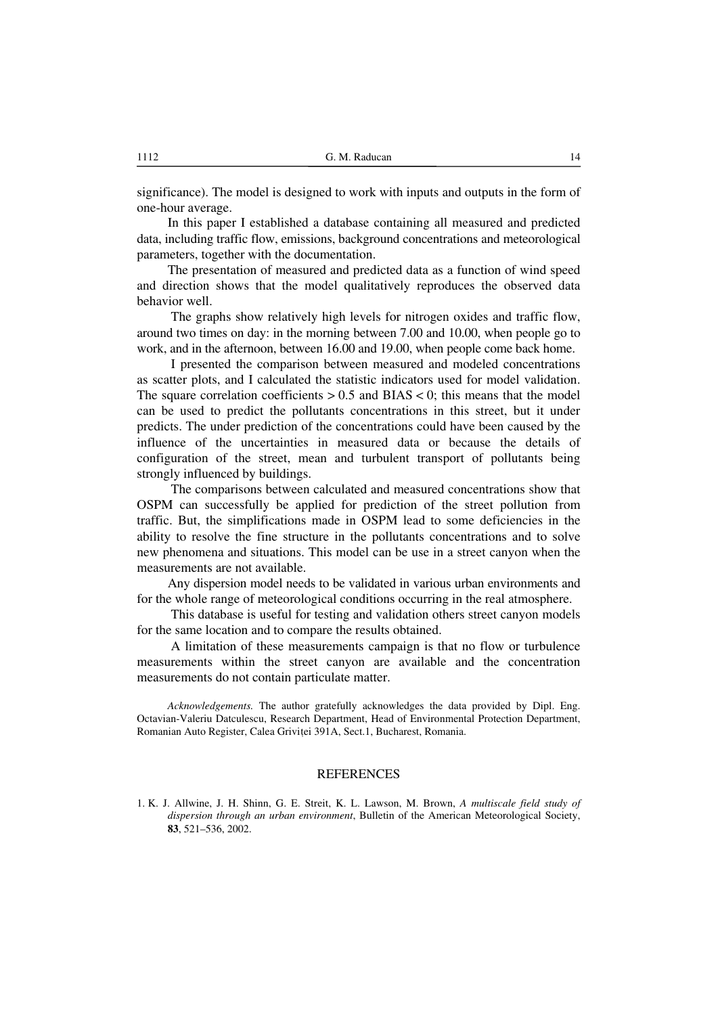significance). The model is designed to work with inputs and outputs in the form of one-hour average.

In this paper I established a database containing all measured and predicted data, including traffic flow, emissions, background concentrations and meteorological parameters, together with the documentation.

The presentation of measured and predicted data as a function of wind speed and direction shows that the model qualitatively reproduces the observed data behavior well.

 The graphs show relatively high levels for nitrogen oxides and traffic flow, around two times on day: in the morning between 7.00 and 10.00, when people go to work, and in the afternoon, between 16.00 and 19.00, when people come back home.

 I presented the comparison between measured and modeled concentrations as scatter plots, and I calculated the statistic indicators used for model validation. The square correlation coefficients  $> 0.5$  and BIAS  $< 0$ ; this means that the model can be used to predict the pollutants concentrations in this street, but it under predicts. The under prediction of the concentrations could have been caused by the influence of the uncertainties in measured data or because the details of configuration of the street, mean and turbulent transport of pollutants being strongly influenced by buildings.

 The comparisons between calculated and measured concentrations show that OSPM can successfully be applied for prediction of the street pollution from traffic. But, the simplifications made in OSPM lead to some deficiencies in the ability to resolve the fine structure in the pollutants concentrations and to solve new phenomena and situations. This model can be use in a street canyon when the measurements are not available.

Any dispersion model needs to be validated in various urban environments and for the whole range of meteorological conditions occurring in the real atmosphere.

 This database is useful for testing and validation others street canyon models for the same location and to compare the results obtained.

 A limitation of these measurements campaign is that no flow or turbulence measurements within the street canyon are available and the concentration measurements do not contain particulate matter.

*Acknowledgements.* The author gratefully acknowledges the data provided by Dipl. Eng. Octavian-Valeriu Datculescu, Research Department, Head of Environmental Protection Department, Romanian Auto Register, Calea Grivitei 391A, Sect.1, Bucharest, Romania.

#### **REFERENCES**

1. K. J. Allwine, J. H. Shinn, G. E. Streit, K. L. Lawson, M. Brown, *A multiscale field study of dispersion through an urban environment*, Bulletin of the American Meteorological Society, **83**, 521–536, 2002.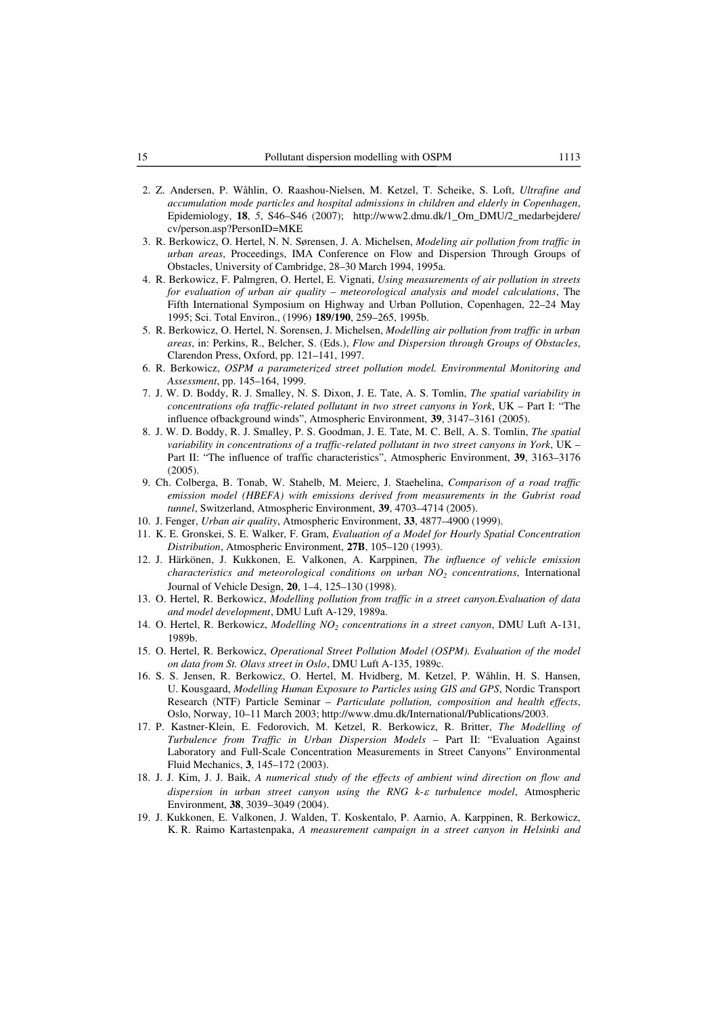- 2. Z. Andersen, P. Wåhlin, O. Raashou-Nielsen, M. Ketzel, T. Scheike, S. Loft, *Ultrafine and accumulation mode particles and hospital admissions in children and elderly in Copenhagen*, Epidemiology, **18**, *5*, S46–S46 (2007); http://www2.dmu.dk/1\_Om\_DMU/2\_medarbejdere/ cv/person.asp?PersonID=MKE
- 3. R. Berkowicz, O. Hertel, N. N. Sørensen, J. A. Michelsen, *Modeling air pollution from traffic in urban areas*, Proceedings, IMA Conference on Flow and Dispersion Through Groups of Obstacles, University of Cambridge, 28–30 March 1994, 1995a.
- 4. R. Berkowicz, F. Palmgren, O. Hertel, E. Vignati, *Using measurements of air pollution in streets for evaluation of urban air quality – meteorological analysis and model calculations*, The Fifth International Symposium on Highway and Urban Pollution, Copenhagen, 22–24 May 1995; Sci. Total Environ., (1996) **189**/**190**, 259–265, 1995b.
- 5. R. Berkowicz, O. Hertel, N. Sorensen, J. Michelsen, *Modelling air pollution from traffic in urban areas*, in: Perkins, R., Belcher, S. (Eds.), *Flow and Dispersion through Groups of Obstacles*, Clarendon Press, Oxford, pp. 121–141, 1997.
- 6. R. Berkowicz, *OSPM a parameterized street pollution model. Environmental Monitoring and Assessment*, pp. 145–164, 1999.
- 7. J. W. D. Boddy, R. J. Smalley, N. S. Dixon, J. E. Tate, A. S. Tomlin, *The spatial variability in concentrations ofa traffic-related pollutant in two street canyons in York*, UK – Part I: "The influence ofbackground winds", Atmospheric Environment, **39**, 3147–3161 (2005).
- 8. J. W. D. Boddy, R. J. Smalley, P. S. Goodman, J. E. Tate, M. C. Bell, A. S. Tomlin, *The spatial variability in concentrations of a traffic-related pollutant in two street canyons in York*, UK – Part II: "The influence of traffic characteristics", Atmospheric Environment, **39**, 3163–3176 (2005).
- 9. Ch. Colberga, B. Tonab, W. Stahelb, M. Meierc, J. Staehelina, *Comparison of a road traffic emission model (HBEFA) with emissions derived from measurements in the Gubrist road tunnel*, Switzerland, Atmospheric Environment, **39**, 4703–4714 (2005).
- 10. J. Fenger, *Urban air quality*, Atmospheric Environment, **33**, 4877–4900 (1999).
- 11. K. E. Gronskei, S. E. Walker, F. Gram, *Evaluation of a Model for Hourly Spatial Concentration Distribution*, Atmospheric Environment, **27B**, 105–120 (1993).
- 12. J. Härkönen, J. Kukkonen, E. Valkonen, A. Karppinen, *The influence of vehicle emission characteristics and meteorological conditions on urban NO<sub>2</sub> concentrations*, International Journal of Vehicle Design, **20**, 1–4, 125–130 (1998).
- 13. O. Hertel, R. Berkowicz, *Modelling pollution from traffic in a street canyon.Evaluation of data and model development*, DMU Luft A-129, 1989a.
- 14. O. Hertel, R. Berkowicz, *Modelling NO2 concentrations in a street canyon*, DMU Luft A-131, 1989b.
- 15. O. Hertel, R. Berkowicz, *Operational Street Pollution Model (OSPM). Evaluation of the model on data from St. Olavs street in Oslo*, DMU Luft A-135, 1989c.
- 16. S. S. Jensen, R. Berkowicz, O. Hertel, M. Hvidberg, M. Ketzel, P. Wåhlin, H. S. Hansen, U. Kousgaard, *Modelling Human Exposure to Particles using GIS and GPS*, Nordic Transport Research (NTF) Particle Seminar – *Particulate pollution, composition and health effects*, Oslo, Norway, 10–11 March 2003; http://www.dmu.dk/International/Publications/2003.
- 17. P. Kastner-Klein, E. Fedorovich, M. Ketzel, R. Berkowicz, R. Britter, *The Modelling of Turbulence from Traffic in Urban Dispersion Models* – Part II: "Evaluation Against Laboratory and Full-Scale Concentration Measurements in Street Canyons" Environmental Fluid Mechanics, **3**, 145–172 (2003).
- 18. J. J. Kim, J. J. Baik, *A numerical study of the effects of ambient wind direction on flow and dispersion in urban street canyon using the RNG k-* $\varepsilon$  *turbulence model*, Atmospheric Environment, **38**, 3039–3049 (2004).
- 19. J. Kukkonen, E. Valkonen, J. Walden, T. Koskentalo, P. Aarnio, A. Karppinen, R. Berkowicz, K. R. Raimo Kartastenpaka, *A measurement campaign in a street canyon in Helsinki and*